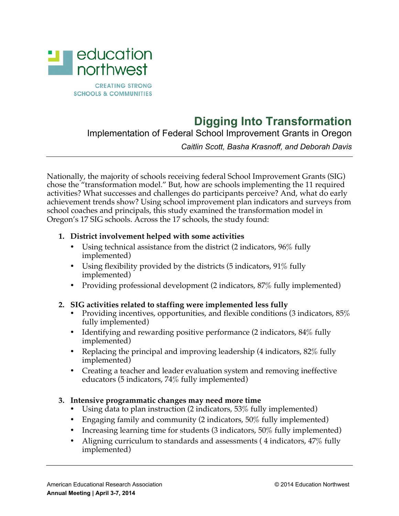

# **Digging Into Transformation**

Implementation of Federal School Improvement Grants in Oregon

*Caitlin Scott, Basha Krasnoff, and Deborah Davis*

Nationally, the majority of schools receiving federal School Improvement Grants (SIG) chose the "transformation model." But, how are schools implementing the 11 required activities? What successes and challenges do participants perceive? And, what do early achievement trends show? Using school improvement plan indicators and surveys from school coaches and principals, this study examined the transformation model in Oregon's 17 SIG schools. Across the 17 schools, the study found:

### **1. District involvement helped with some activities**

- Using technical assistance from the district (2 indicators, 96% fully implemented)
- Using flexibility provided by the districts (5 indicators, 91% fully implemented)
- Providing professional development (2 indicators, 87% fully implemented)

### **2. SIG activities related to staffing were implemented less fully**

- Providing incentives, opportunities, and flexible conditions (3 indicators, 85% fully implemented)
- Identifying and rewarding positive performance (2 indicators, 84\% fully implemented)
- Replacing the principal and improving leadership (4 indicators, 82\% fully implemented)
- Creating a teacher and leader evaluation system and removing ineffective educators (5 indicators, 74% fully implemented)

### **3. Intensive programmatic changes may need more time**

- Using data to plan instruction (2 indicators, 53% fully implemented)
- Engaging family and community (2 indicators, 50% fully implemented)
- Increasing learning time for students (3 indicators, 50% fully implemented)
- Aligning curriculum to standards and assessments ( 4 indicators, 47% fully implemented)